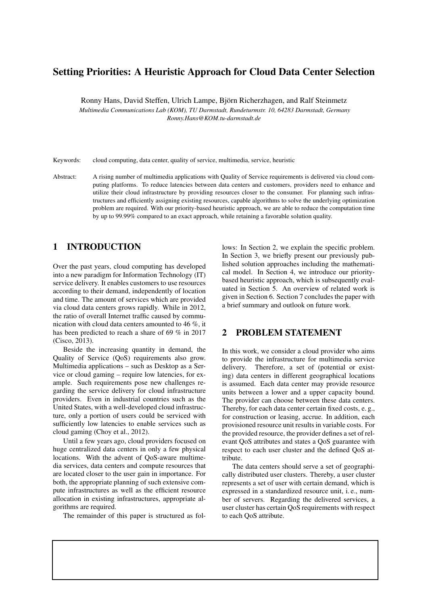# Setting Priorities: A Heuristic Approach for Cloud Data Center Selection

Ronny Hans, David Steffen, Ulrich Lampe, Bjorn Richerzhagen, and Ralf Steinmetz ¨

*Multimedia Communications Lab (KOM), TU Darmstadt, Rundeturmstr. 10, 64283 Darmstadt, Germany Ronny.Hans@KOM.tu-darmstadt.de*

Keywords: cloud computing, data center, quality of service, multimedia, service, heuristic

Abstract: A rising number of multimedia applications with Quality of Service requirements is delivered via cloud computing platforms. To reduce latencies between data centers and customers, providers need to enhance and utilize their cloud infrastructure by providing resources closer to the consumer. For planning such infrastructures and efficiently assigning existing resources, capable algorithms to solve the underlying optimization problem are required. With our priority-based heuristic approach, we are able to reduce the computation time by up to 99.99% compared to an exact approach, while retaining a favorable solution quality.

# 1 INTRODUCTION

Over the past years, cloud computing has developed into a new paradigm for Information Technology (IT) service delivery. It enables customers to use resources according to their demand, independently of location and time. The amount of services which are provided via cloud data centers grows rapidly. While in 2012, the ratio of overall Internet traffic caused by communication with cloud data centers amounted to 46 %, it has been predicted to reach a share of 69 % in 2017 (Cisco, 2013).

Beside the increasing quantity in demand, the Quality of Service (QoS) requirements also grow. Multimedia applications – such as Desktop as a Service or cloud gaming – require low latencies, for example. Such requirements pose new challenges regarding the service delivery for cloud infrastructure providers. Even in industrial countries such as the United States, with a well-developed cloud infrastructure, only a portion of users could be serviced with sufficiently low latencies to enable services such as cloud gaming (Choy et al., 2012).

Until a few years ago, cloud providers focused on huge centralized data centers in only a few physical locations. With the advent of QoS-aware multimedia services, data centers and compute resources that are located closer to the user gain in importance. For both, the appropriate planning of such extensive compute infrastructures as well as the efficient resource allocation in existing infrastructures, appropriate algorithms are required.

The remainder of this paper is structured as fol-

lows: In Section 2, we explain the specific problem. In Section 3, we briefly present our previously published solution approaches including the mathematical model. In Section 4, we introduce our prioritybased heuristic approach, which is subsequently evaluated in Section 5. An overview of related work is given in Section 6. Section 7 concludes the paper with a brief summary and outlook on future work.

## 2 PROBLEM STATEMENT

In this work, we consider a cloud provider who aims to provide the infrastructure for multimedia service delivery. Therefore, a set of (potential or existing) data centers in different geographical locations is assumed. Each data center may provide resource units between a lower and a upper capacity bound. The provider can choose between these data centers. Thereby, for each data center certain fixed costs, e. g., for construction or leasing, accrue. In addition, each provisioned resource unit results in variable costs. For the provided resource, the provider defines a set of relevant QoS attributes and states a QoS guarantee with respect to each user cluster and the defined QoS attribute.

The data centers should serve a set of geographically distributed user clusters. Thereby, a user cluster represents a set of user with certain demand, which is expressed in a standardized resource unit, i. e., number of servers. Regarding the delivered services, a user cluster has certain QoS requirements with respect to each QoS attribute.

The documents distributed by this server have been provided by the contributing authors as a means to ensure timely dissemination of scholarly and technical work on a non-commercial basis. Copyright and all rights therein are maintained by the authors or by other copyright holders, not withstanding that they have offered their works here electronically. It is understood that all persons copying this information will adhere to the terms and constraints invoked by each author's copyright. These works may not be reposted without the explicit permission of the copyright holder.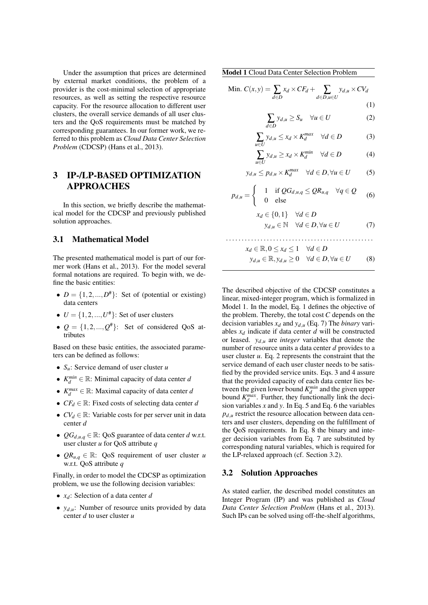Under the assumption that prices are determined by external market conditions, the problem of a provider is the cost-minimal selection of appropriate resources, as well as setting the respective resource capacity. For the resource allocation to different user clusters, the overall service demands of all user clusters and the QoS requirements must be matched by corresponding guarantees. In our former work, we referred to this problem as *Cloud Data Center Selection Problem* (CDCSP) (Hans et al., 2013).

## 3 IP-/LP-BASED OPTIMIZATION APPROACHES

In this section, we briefly describe the mathematical model for the CDCSP and previously published solution approaches.

### 3.1 Mathematical Model

The presented mathematical model is part of our former work (Hans et al., 2013). For the model several formal notations are required. To begin with, we define the basic entities:

- $D = \{1, 2, ..., D^*\}$ : Set of (potential or existing) data centers
- $U = \{1, 2, ..., U^*\}$ : Set of user clusters
- $Q = \{1, 2, ..., Q^* \}$ : Set of considered QoS attributes

Based on these basic entities, the associated parameters can be defined as follows:

- *Su*: Service demand of user cluster *u*
- $K_d^{min} \in \mathbb{R}$ : Minimal capacity of data center *d*
- $K_d^{max} \in \mathbb{R}$ : Maximal capacity of data center *d*
- *CF<sup>d</sup>* <sup>∈</sup> <sup>R</sup>: Fixed costs of selecting data center *<sup>d</sup>*
- $CV_d \in \mathbb{R}$ : Variable costs for per server unit in data center *d*
- $QG_{d,u,q} \in \mathbb{R}$ : QoS guarantee of data center *d* w.r.t. user cluster *u* for QoS attribute *q*
- $QR_{u,q} \in \mathbb{R}$ : QoS requirement of user cluster *u* w.r.t. QoS attribute *q*

Finally, in order to model the CDCSP as optimization problem, we use the following decision variables:

- *xd*: Selection of a data center *d*
- $y_{d,u}$ : Number of resource units provided by data center *d* to user cluster *u*

Model 1 Cloud Data Center Selection Problem

Min. 
$$
C(x,y) = \sum_{d \in D} x_d \times CF_d + \sum_{d \in D, u \in U} y_{d,u} \times CV_d
$$
 (1)

$$
\sum_{d \in D} y_{d,u} \ge S_u \quad \forall u \in U \tag{2}
$$

$$
\sum_{u \in U} y_{d,u} \le x_d \times K_d^{max} \quad \forall d \in D \tag{3}
$$

$$
\sum_{u \in U} y_{d,u} \ge x_d \times K_d^{min} \quad \forall d \in D \tag{4}
$$

$$
y_{d,u} \le p_{d,u} \times K_d^{max} \quad \forall d \in D, \forall u \in U \tag{5}
$$

$$
p_{d,u} = \begin{cases} 1 & \text{if } QG_{d,u,q} \le QR_{u,q} \quad \forall q \in Q \\ 0 & \text{else} \end{cases}
$$
 (6)

$$
x_d \in \{0, 1\} \quad \forall d \in D
$$
  

$$
y_{d,u} \in \mathbb{N} \quad \forall d \in D, \forall u \in U
$$
 (7)

$$
x_d \in \mathbb{R}, 0 \le x_d \le 1 \quad \forall d \in D
$$
  

$$
y_{d,u} \in \mathbb{R}, y_{d,u} \ge 0 \quad \forall d \in D, \forall u \in U
$$
 (8)

The described objective of the CDCSP constitutes a linear, mixed-integer program, which is formalized in Model 1. In the model, Eq. 1 defines the objective of the problem. Thereby, the total cost *C* depends on the decision variables  $x_d$  and  $y_{d,u}$  (Eq. 7) The *binary* variables  $x_d$  indicate if data center  $d$  will be constructed or leased. *yd*,*<sup>u</sup>* are *integer* variables that denote the number of resource units a data center *d* provides to a user cluster *u*. Eq. 2 represents the constraint that the service demand of each user cluster needs to be satisfied by the provided service units. Eqs. 3 and 4 assure that the provided capacity of each data center lies between the given lower bound  $K_d^{min}$  and the given upper bound  $K_d^{max}$ . Further, they functionally link the decision variables *x* and *y*. In Eq. 5 and Eq. 6 the variables  $p_{d,u}$  restrict the resource allocation between data centers and user clusters, depending on the fulfillment of the QoS requirements. In Eq. 8 the binary and integer decision variables from Eq. 7 are substituted by corresponding natural variables, which is required for the LP-relaxed approach (cf. Section 3.2).

#### 3.2 Solution Approaches

As stated earlier, the described model constitutes an Integer Program (IP) and was published as *Cloud Data Center Selection Problem* (Hans et al., 2013). Such IPs can be solved using off-the-shelf algorithms,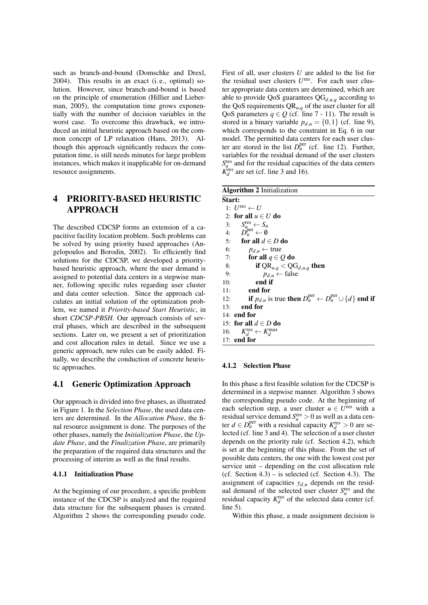such as branch-and-bound (Domschke and Drexl, 2004). This results in an exact (i. e., optimal) solution. However, since branch-and-bound is based on the principle of enumeration (Hillier and Lieberman, 2005), the computation time grows exponentially with the number of decision variables in the worst case. To overcome this drawback, we introduced an initial heuristic approach based on the common concept of LP relaxation (Hans, 2013). Although this approach significantly reduces the computation time, is still needs minutes for large problem instances, which makes it inapplicable for on-demand resource assignments.

# 4 PRIORITY-BASED HEURISTIC APPROACH

The described CDCSP forms an extension of a capacitive facility location problem. Such problems can be solved by using priority based approaches (Angelopoulos and Borodin, 2002). To efficiently find solutions for the CDCSP, we developed a prioritybased heuristic approach, where the user demand is assigned to potential data centers in a stepwise manner, following specific rules regarding user cluster and data center selection. Since the approach calculates an initial solution of the optimization problem, we named it *Priority-based Start Heuristic*, in short *CDCSP-PBSH*. Our approach consists of several phases, which are described in the subsequent sections. Later on, we present a set of prioritization and cost allocation rules in detail. Since we use a generic approach, new rules can be easily added. Finally, we describe the conduction of concrete heuristic approaches.

### 4.1 Generic Optimization Approach

Our approach is divided into five phases, as illustrated in Figure 1. In the *Selection Phase*, the used data centers are determined. In the *Allocation Phase*, the final resource assignment is done. The purposes of the other phases, namely the *Initialization Phase*, the *Update Phase*, and the *Finalization Phase*, are primarily the preparation of the required data structures and the processing of interim as well as the final results.

#### 4.1.1 Initialization Phase

At the beginning of our procedure, a specific problem instance of the CDCSP is analyzed and the required data structure for the subsequent phases is created. Algorithm 2 shows the corresponding pseudo code.

First of all, user clusters *U* are added to the list for the residual user clusters  $U^{\text{res}}$ . For each user cluster appropriate data centers are determined, which are able to provide QoS guarantees  $\overline{QG}_{d,u,q}$  according to the QoS requirements QR*u*,*<sup>q</sup>* of the user cluster for all QoS parameters  $q \in Q$  (cf. line 7 - 11). The result is stored in a binary variable  $p_{d\mu} = \{0, 1\}$  (cf. line 9), which corresponds to the constraint in Eq. 6 in our model. The permitted data centers for each user cluster are stored in the list  $D_{\mu}^{\text{per}}$  (cf. line 12). Further, variables for the residual demand of the user clusters  $S_u^{\text{res}}$  and for the residual capacities of the data centers  $K_d^{\text{res}}$  are set (cf. line 3 and 16).

| <b>Algorithm 2 Initialization</b>                                                                        |  |
|----------------------------------------------------------------------------------------------------------|--|
| Start:                                                                                                   |  |
| 1: $U^{\text{res}} \leftarrow U$                                                                         |  |
| 2: for all $u \in U$ do                                                                                  |  |
| 3: $S_u^{\text{res}} \leftarrow S_u$                                                                     |  |
| 4: $D_{\mu}^{\text{per}} \leftarrow \emptyset$                                                           |  |
| 5: for all $d \in D$ do                                                                                  |  |
| 6:<br>$p_{d,u} \leftarrow \text{true}$                                                                   |  |
| 7:<br>for all $q \in Q$ do                                                                               |  |
| if $QR_{u,q} < QG_{d,u,q}$ then<br>8:                                                                    |  |
| $p_{d,u} \leftarrow false$<br>9:                                                                         |  |
| end if<br>10:                                                                                            |  |
| end for<br>11:                                                                                           |  |
| <b>if</b> $p_{d,u}$ is true then $D_u^{\text{per}} \leftarrow D_u^{\text{per}} \cup \{d\}$ end if<br>12: |  |
| end for<br>13:                                                                                           |  |
| $14:$ end for                                                                                            |  |
| 15: for all $d \in D$ do                                                                                 |  |
| 16: $K_d^{\text{res}} \leftarrow K_d^{\text{max}}$                                                       |  |
| 17: end for                                                                                              |  |
|                                                                                                          |  |

### 4.1.2 Selection Phase

In this phase a first feasible solution for the CDCSP is determined in a stepwise manner. Algorithm 3 shows the corresponding pseudo code. At the beginning of each selection step, a user cluster  $u \in U^{\text{res}}$  with a residual service demand  $S_u^{\text{res}} > 0$  as well as a data center  $d \in D_u^{\text{per}}$  with a residual capacity  $K_d^{\text{res}} > 0$  are selected (cf. line 3 and 4). The selection of a user cluster depends on the priority rule (cf. Section 4.2), which is set at the beginning of this phase. From the set of possible data centers, the one with the lowest cost per service unit – depending on the cost allocation rule (cf. Section  $4.3$ ) – is selected (cf. Section  $4.3$ ). The assignment of capacities  $y_{d,u}$  depends on the residual demand of the selected user cluster  $S_u^{\text{res}}$  and the residual capacity  $K_d^{\text{res}}$  of the selected data center (cf. line 5).

Within this phase, a made assignment decision is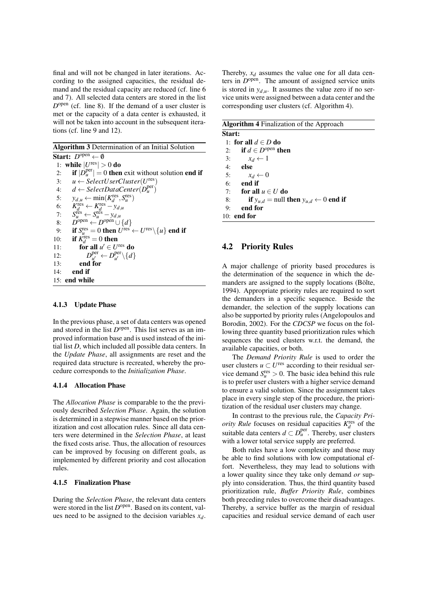final and will not be changed in later iterations. According to the assigned capacities, the residual demand and the residual capacity are reduced (cf. line 6 and 7). All selected data centers are stored in the list  $D^{\text{open}}$  (cf. line 8). If the demand of a user cluster is met or the capacity of a data center is exhausted, it will not be taken into account in the subsequent iterations (cf. line 9 and 12).

| <b>Algorithm 3</b> Determination of an Initial Solution                                                |
|--------------------------------------------------------------------------------------------------------|
| <b>Start:</b> $D^{open} \leftarrow \emptyset$                                                          |
| 1: while $ U^{\text{res}}  > 0$ do                                                                     |
| if $ D_u^{\text{per}}  = 0$ then exit without solution end if<br>2:                                    |
| $u \leftarrow SelectUserCluster(U^{res})$<br>3:                                                        |
| 4: $d \leftarrow SelectDataCenter(D_u^{per})$                                                          |
| 5:<br>$y_{d,u} \leftarrow \min(K_d^{\text{res}}, S_u^{\text{res}})$                                    |
| 6:<br>$K_d^{\text{res}} \leftarrow K_d^{\text{res}} - y_{d,u}$                                         |
| $S_u^{\text{res}} \leftarrow S_u^{\text{res}} - y_{d,u}$<br>7:                                         |
| $D^{\text{open}} \leftarrow D^{\text{open}} \cup \{d\}$<br>8:                                          |
| if $S_u^{\text{res}} = 0$ then $U^{\text{res}} \leftarrow U^{\text{res}} \setminus \{u\}$ end if<br>9: |
| if $K_A^{\text{res}} = 0$ then<br>10:                                                                  |
| for all $u' \in U^{\text{res}}$ do<br>11:                                                              |
| $D_{\mu}^{\text{per}} \leftarrow D_{\mu'}^{\text{per}} \setminus \{d\}$<br>12:                         |
| end for<br>13:                                                                                         |
| end if<br>14:                                                                                          |
| 15: end while                                                                                          |

#### 4.1.3 Update Phase

In the previous phase, a set of data centers was opened and stored in the list  $D^{\text{open}}$ . This list serves as an improved information base and is used instead of the initial list *D*, which included all possible data centers. In the *Update Phase*, all assignments are reset and the required data structure is recreated, whereby the procedure corresponds to the *Initialization Phase*.

#### 4.1.4 Allocation Phase

The *Allocation Phase* is comparable to the the previously described *Selection Phase*. Again, the solution is determined in a stepwise manner based on the prioritization and cost allocation rules. Since all data centers were determined in the *Selection Phase*, at least the fixed costs arise. Thus, the allocation of resources can be improved by focusing on different goals, as implemented by different priority and cost allocation rules.

#### 4.1.5 Finalization Phase

During the *Selection Phase*, the relevant data centers were stored in the list  $D^{\text{open}}$ . Based on its content, values need to be assigned to the decision variables *xd*.

Thereby, *x<sup>d</sup>* assumes the value one for all data centers in  $D^{\text{open}}$ . The amount of assigned service units is stored in  $y_{d,u}$ . It assumes the value zero if no service units were assigned between a data center and the corresponding user clusters (cf. Algorithm 4).

| <b>Algorithm 4 Finalization of the Approach</b> |                                                                               |  |
|-------------------------------------------------|-------------------------------------------------------------------------------|--|
| Start:                                          |                                                                               |  |
|                                                 | 1: for all $d \in D$ do                                                       |  |
|                                                 | 2: if $d \in D^{\text{open}}$ then                                            |  |
| 3:                                              | $x_d \leftarrow 1$                                                            |  |
|                                                 | $4:$ else                                                                     |  |
| 5:                                              | $x_d \leftarrow 0$                                                            |  |
| 6:                                              | end if                                                                        |  |
| 7:                                              | for all $u \in U$ do                                                          |  |
| 8:                                              | <b>if</b> $y_{u,d}$ = null <b>then</b> $y_{u,d}$ $\leftarrow$ 0 <b>end if</b> |  |
| 9:                                              | end for                                                                       |  |
|                                                 | $10:$ end for                                                                 |  |

### 4.2 Priority Rules

A major challenge of priority based procedures is the determination of the sequence in which the demanders are assigned to the supply locations (Bölte, 1994). Appropriate priority rules are required to sort the demanders in a specific sequence. Beside the demander, the selection of the supply locations can also be supported by priority rules (Angelopoulos and Borodin, 2002). For the *CDCSP* we focus on the following three quantity based prioritization rules which sequences the used clusters w.r.t. the demand, the available capacities, or both.

The *Demand Priority Rule* is used to order the user clusters  $u \subset U^{\text{res}}$  according to their residual service demand  $S_u^{\text{res}} > 0$ . The basic idea behind this rule is to prefer user clusters with a higher service demand to ensure a valid solution. Since the assignment takes place in every single step of the procedure, the prioritization of the residual user clusters may change.

In contrast to the previous rule, the *Capacity Priority Rule* focuses on residual capacities  $K_d^{\text{res}}$  of the suitable data centers  $d \subset D_u^{\text{per}}$ . Thereby, user clusters with a lower total service supply are preferred.

Both rules have a low complexity and those may be able to find solutions with low computational effort. Nevertheless, they may lead to solutions with a lower quality since they take only demand *or* supply into consideration. Thus, the third quantity based prioritization rule, *Buffer Priority Rule*, combines both preceding rules to overcome their disadvantages. Thereby, a service buffer as the margin of residual capacities and residual service demand of each user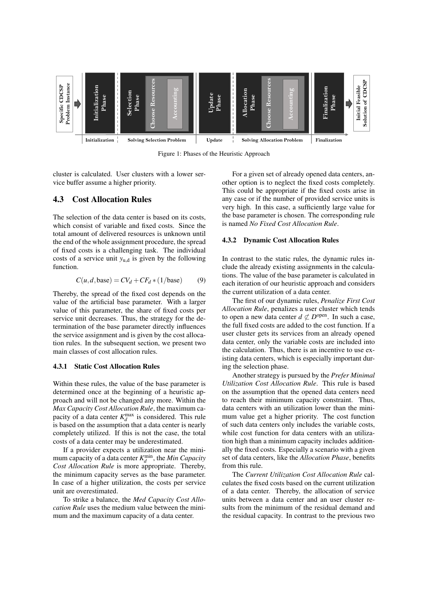

Figure 1: Phases of the Heuristic Approach

cluster is calculated. User clusters with a lower service buffer assume a higher priority.

### 4.3 Cost Allocation Rules

The selection of the data center is based on its costs, which consist of variable and fixed costs. Since the total amount of delivered resources is unknown until the end of the whole assignment procedure, the spread of fixed costs is a challenging task. The individual costs of a service unit  $y_{u,d}$  is given by the following function.

$$
C(u, d, \text{base}) = CV_d + CF_d * (1/\text{base})
$$
 (9)

Thereby, the spread of the fixed cost depends on the value of the artificial base parameter. With a larger value of this parameter, the share of fixed costs per service unit decreases. Thus, the strategy for the determination of the base parameter directly influences the service assignment and is given by the cost allocation rules. In the subsequent section, we present two main classes of cost allocation rules.

#### 4.3.1 Static Cost Allocation Rules

Within these rules, the value of the base parameter is determined once at the beginning of a heuristic approach and will not be changed any more. Within the *Max Capacity Cost Allocation Rule*, the maximum capacity of a data center  $K_d^{\text{max}}$  is considered. This rule is based on the assumption that a data center is nearly completely utilized. If this is not the case, the total costs of a data center may be underestimated.

If a provider expects a utilization near the minimum capacity of a data center  $K_d^{\text{min}}$ , the *Min Capacity Cost Allocation Rule* is more appropriate. Thereby, the minimum capacity serves as the base parameter. In case of a higher utilization, the costs per service unit are overestimated.

To strike a balance, the *Med Capacity Cost Allocation Rule* uses the medium value between the minimum and the maximum capacity of a data center.

For a given set of already opened data centers, another option is to neglect the fixed costs completely. This could be appropriate if the fixed costs arise in any case or if the number of provided service units is very high. In this case, a sufficiently large value for the base parameter is chosen. The corresponding rule is named *No Fixed Cost Allocation Rule*.

### 4.3.2 Dynamic Cost Allocation Rules

In contrast to the static rules, the dynamic rules include the already existing assignments in the calculations. The value of the base parameter is calculated in each iteration of our heuristic approach and considers the current utilization of a data center.

The first of our dynamic rules, *Penalize First Cost Allocation Rule*, penalizes a user cluster which tends to open a new data center  $d \not\subset D^{\text{open}}$ . In such a case, the full fixed costs are added to the cost function. If a user cluster gets its services from an already opened data center, only the variable costs are included into the calculation. Thus, there is an incentive to use existing data centers, which is especially important during the selection phase.

Another strategy is pursued by the *Prefer Minimal Utilization Cost Allocation Rule*. This rule is based on the assumption that the opened data centers need to reach their minimum capacity constraint. Thus, data centers with an utilization lower than the minimum value get a higher priority. The cost function of such data centers only includes the variable costs, while cost function for data centers with an utilization high than a minimum capacity includes additionally the fixed costs. Especially a scenario with a given set of data centers, like the *Allocation Phase*, benefits from this rule.

The *Current Utilization Cost Allocation Rule* calculates the fixed costs based on the current utilization of a data center. Thereby, the allocation of service units between a data center and an user cluster results from the minimum of the residual demand and the residual capacity. In contrast to the previous two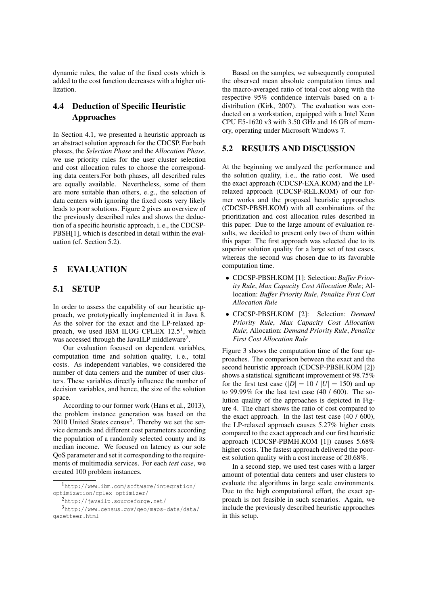dynamic rules, the value of the fixed costs which is added to the cost function decreases with a higher utilization.

# 4.4 Deduction of Specific Heuristic Approaches

In Section 4.1, we presented a heuristic approach as an abstract solution approach for the CDCSP. For both phases, the *Selection Phase* and the *Allocation Phase*, we use priority rules for the user cluster selection and cost allocation rules to choose the corresponding data centers.For both phases, all described rules are equally available. Nevertheless, some of them are more suitable than others, e. g., the selection of data centers with ignoring the fixed costs very likely leads to poor solutions. Figure 2 gives an overview of the previously described rules and shows the deduction of a specific heuristic approach, i. e., the CDCSP-PBSH[1], which is described in detail within the evaluation (cf. Section 5.2).

# 5 EVALUATION

## 5.1 SETUP

In order to assess the capability of our heuristic approach, we prototypically implemented it in Java 8. As the solver for the exact and the LP-relaxed approach, we used IBM ILOG CPLEX  $12.5<sup>1</sup>$ , which was accessed through the JavaILP middleware<sup>2</sup>.

Our evaluation focused on dependent variables, computation time and solution quality, i. e., total costs. As independent variables, we considered the number of data centers and the number of user clusters. These variables directly influence the number of decision variables, and hence, the size of the solution space.

According to our former work (Hans et al., 2013), the problem instance generation was based on the  $2010$  United States census<sup>3</sup>. Thereby we set the service demands and different cost parameters according the population of a randomly selected county and its median income. We focused on latency as our sole QoS parameter and set it corresponding to the requirements of multimedia services. For each *test case*, we created 100 problem instances.

Based on the samples, we subsequently computed the observed mean absolute computation times and the macro-averaged ratio of total cost along with the respective 95% confidence intervals based on a tdistribution (Kirk, 2007). The evaluation was conducted on a workstation, equipped with a Intel Xeon CPU E5-1620 v3 with 3.50 GHz and 16 GB of memory, operating under Microsoft Windows 7.

### 5.2 RESULTS AND DISCUSSION

At the beginning we analyzed the performance and the solution quality, i. e., the ratio cost. We used the exact approach (CDCSP-EXA.KOM) and the LPrelaxed approach (CDCSP-REL.KOM) of our former works and the proposed heuristic approaches (CDCSP-PBSH.KOM) with all combinations of the prioritization and cost allocation rules described in this paper. Due to the large amount of evaluation results, we decided to present only two of them within this paper. The first approach was selected due to its superior solution quality for a large set of test cases, whereas the second was chosen due to its favorable computation time.

- CDCSP-PBSH.KOM [1]: Selection: *Buffer Priority Rule*, *Max Capacity Cost Allocation Rule*; Allocation: *Buffer Priority Rule*, *Penalize First Cost Allocation Rule*
- CDCSP-PBSH.KOM [2]: Selection: *Demand Priority Rule*, *Max Capacity Cost Allocation Rule*; Allocation: *Demand Priority Rule*, *Penalize First Cost Allocation Rule*

Figure 3 shows the computation time of the four approaches. The comparison between the exact and the second heuristic approach (CDCSP-PBSH.KOM [2]) shows a statistical significant improvement of 98.75% for the first test case  $(|D| = 10 / |U| = 150)$  and up to 99.99% for the last test case (40 / 600). The solution quality of the approaches is depicted in Figure 4. The chart shows the ratio of cost compared to the exact approach. In the last test case (40 / 600), the LP-relaxed approach causes 5.27% higher costs compared to the exact approach and our first heuristic approach (CDCSP-PBMH.KOM [1]) causes 5.68% higher costs. The fastest approach delivered the poorest solution quality with a cost increase of 20.68%.

In a second step, we used test cases with a larger amount of potential data centers and user clusters to evaluate the algorithms in large scale environments. Due to the high computational effort, the exact approach is not feasible in such scenarios. Again, we include the previously described heuristic approaches in this setup.

<sup>1</sup>http://www.ibm.com/software/integration/ optimization/cplex-optimizer/

<sup>2</sup>http://javailp.sourceforge.net/

<sup>3</sup>http://www.census.gov/geo/maps-data/data/ gazetteer.html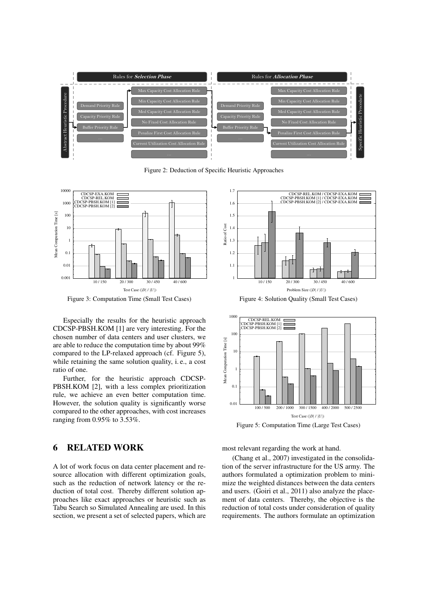

Figure 2: Deduction of Specific Heuristic Approaches



Figure 3: Computation Time (Small Test Cases)

Especially the results for the heuristic approach CDCSP-PBSH.KOM [1] are very interesting. For the chosen number of data centers and user clusters, we are able to reduce the computation time by about 99% compared to the LP-relaxed approach (cf. Figure 5), while retaining the same solution quality, i. e., a cost ratio of one.

Further, for the heuristic approach CDCSP-PBSH.KOM [2], with a less complex prioritization rule, we achieve an even better computation time. However, the solution quality is significantly worse compared to the other approaches, with cost increases ranging from 0.95% to 3.53%.

## 6 RELATED WORK

A lot of work focus on data center placement and resource allocation with different optimization goals, such as the reduction of network latency or the reduction of total cost. Thereby different solution approaches like exact approaches or heuristic such as Tabu Search so Simulated Annealing are used. In this section, we present a set of selected papers, which are



Figure 4: Solution Quality (Small Test Cases)



Figure 5: Computation Time (Large Test Cases)

most relevant regarding the work at hand.

(Chang et al., 2007) investigated in the consolidation of the server infrastructure for the US army. The authors formulated a optimization problem to minimize the weighted distances between the data centers and users. (Goiri et al., 2011) also analyze the placement of data centers. Thereby, the objective is the reduction of total costs under consideration of quality requirements. The authors formulate an optimization